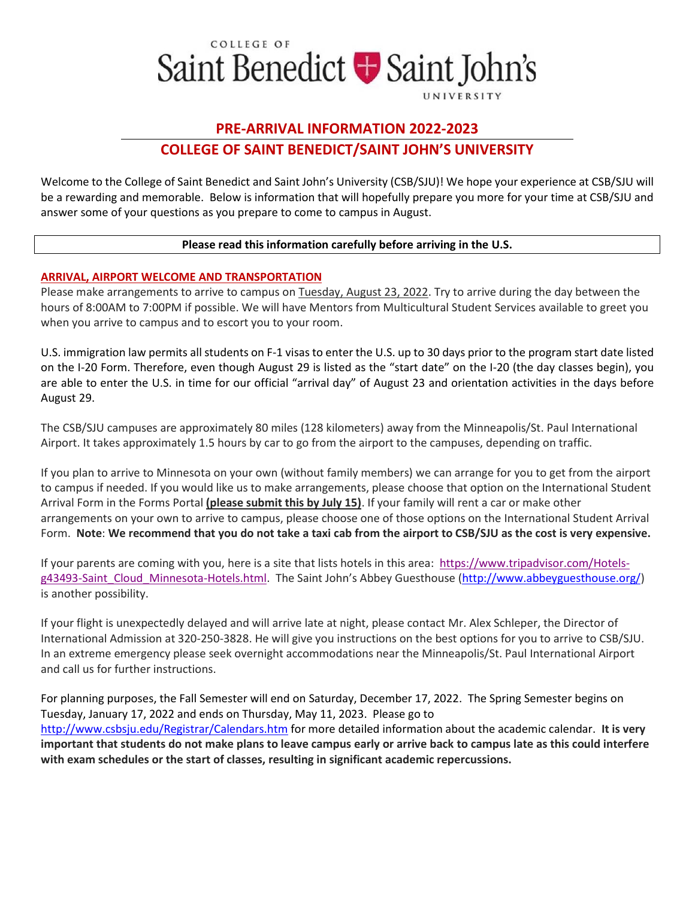

# **PRE-ARRIVAL INFORMATION 2022-2023 COLLEGE OF SAINT BENEDICT/SAINT JOHN'S UNIVERSITY**

Welcome to the College of Saint Benedict and Saint John's University (CSB/SJU)! We hope your experience at CSB/SJU will be a rewarding and memorable. Below is information that will hopefully prepare you more for your time at CSB/SJU and answer some of your questions as you prepare to come to campus in August.

## **Please read this information carefully before arriving in the U.S.**

# **ARRIVAL, AIRPORT WELCOME AND TRANSPORTATION**

Please make arrangements to arrive to campus on Tuesday, August 23, 2022. Try to arrive during the day between the hours of 8:00AM to 7:00PM if possible. We will have Mentors from Multicultural Student Services available to greet you when you arrive to campus and to escort you to your room.

U.S. immigration law permits all students on F-1 visas to enter the U.S. up to 30 days prior to the program start date listed on the I-20 Form. Therefore, even though August 29 is listed as the "start date" on the I-20 (the day classes begin), you are able to enter the U.S. in time for our official "arrival day" of August 23 and orientation activities in the days before August 29.

The CSB/SJU campuses are approximately 80 miles (128 kilometers) away from the Minneapolis/St. Paul International Airport. It takes approximately 1.5 hours by car to go from the airport to the campuses, depending on traffic.

If you plan to arrive to Minnesota on your own (without family members) we can arrange for you to get from the airport to campus if needed. If you would like us to make arrangements, please choose that option on the International Student Arrival Form in the Forms Portal **(please submit this by July 15)**. If your family will rent a car or make other arrangements on your own to arrive to campus, please choose one of those options on the International Student Arrival Form. **Note**: **We recommend that you do not take a taxi cab from the airport to CSB/SJU as the cost is very expensive.**

If your parents are coming with you, here is a site that lists hotels in this area: https://www.tripadvisor.com/Hotelsg43493-Saint\_Cloud\_Minnesota-Hotels.html. The Saint John's Abbey Guesthouse (http://www.abbeyguesthouse.org/) is another possibility.

If your flight is unexpectedly delayed and will arrive late at night, please contact Mr. Alex Schleper, the Director of International Admission at 320-250-3828. He will give you instructions on the best options for you to arrive to CSB/SJU. In an extreme emergency please seek overnight accommodations near the Minneapolis/St. Paul International Airport and call us for further instructions.

For planning purposes, the Fall Semester will end on Saturday, December 17, 2022. The Spring Semester begins on Tuesday, January 17, 2022 and ends on Thursday, May 11, 2023. Please go to http://www.csbsju.edu/Registrar/Calendars.htm for more detailed information about the academic calendar. **It is very important that students do not make plans to leave campus early or arrive back to campus late as this could interfere with exam schedules or the start of classes, resulting in significant academic repercussions.**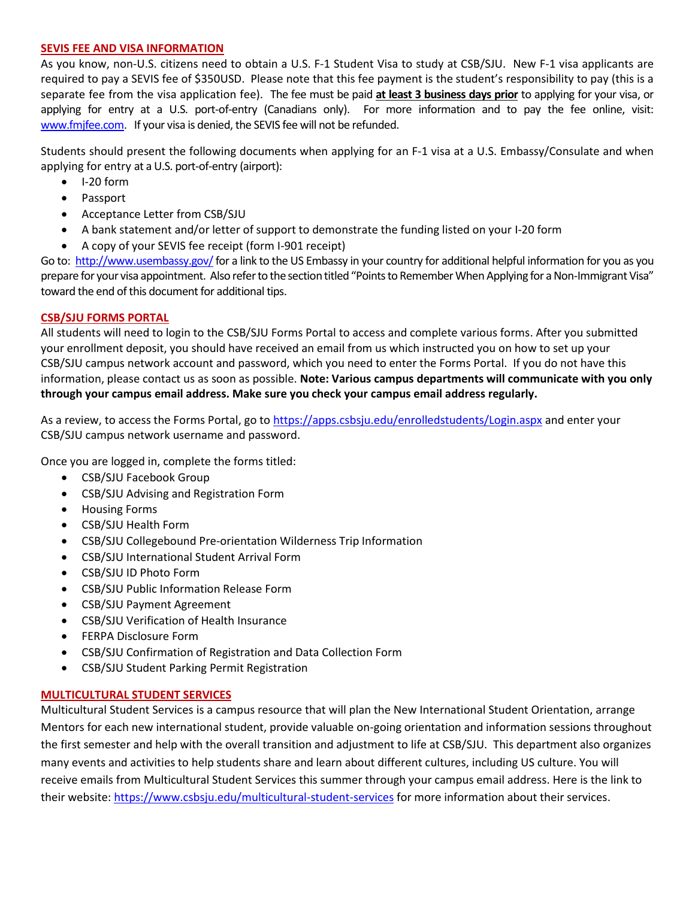## **SEVIS FEE AND VISA INFORMATION**

As you know, non-U.S. citizens need to obtain a U.S. F-1 Student Visa to study at CSB/SJU. New F-1 visa applicants are required to pay a SEVIS fee of \$350USD. Please note that this fee payment is the student's responsibility to pay (this is a separate fee from the visa application fee). The fee must be paid **at least 3 business days prior** to applying for your visa, or applying for entry at a U.S. port-of-entry (Canadians only). For more information and to pay the fee online, visit: www.fmjfee.com. If your visa is denied, the SEVIS fee will not be refunded.

Students should present the following documents when applying for an F-1 visa at a U.S. Embassy/Consulate and when applying for entry at a U.S. port-of-entry (airport):

- I-20 form
- Passport
- Acceptance Letter from CSB/SJU
- A bank statement and/or letter of support to demonstrate the funding listed on your I-20 form
- A copy of your SEVIS fee receipt (form I-901 receipt)

Go to: http://www.usembassy.gov/ for a link to the US Embassy in your country for additional helpful information for you as you prepare for your visa appointment. Also refer to the section titled "Points to Remember When Applying for a Non-Immigrant Visa" toward the end of this document for additional tips.

# **CSB/SJU FORMS PORTAL**

All students will need to login to the CSB/SJU Forms Portal to access and complete various forms. After you submitted your enrollment deposit, you should have received an email from us which instructed you on how to set up your CSB/SJU campus network account and password, which you need to enter the Forms Portal. If you do not have this information, please contact us as soon as possible. **Note: Various campus departments will communicate with you only through your campus email address. Make sure you check your campus email address regularly.**

As a review, to access the Forms Portal, go to https://apps.csbsju.edu/enrolledstudents/Login.aspx and enter your CSB/SJU campus network username and password.

Once you are logged in, complete the forms titled:

- CSB/SJU Facebook Group
- CSB/SJU Advising and Registration Form
- Housing Forms
- CSB/SJU Health Form
- CSB/SJU Collegebound Pre-orientation Wilderness Trip Information
- CSB/SJU International Student Arrival Form
- CSB/SJU ID Photo Form
- CSB/SJU Public Information Release Form
- CSB/SJU Payment Agreement
- CSB/SJU Verification of Health Insurance
- FERPA Disclosure Form
- CSB/SJU Confirmation of Registration and Data Collection Form
- CSB/SJU Student Parking Permit Registration

# **MULTICULTURAL STUDENT SERVICES**

Multicultural Student Services is a campus resource that will plan the New International Student Orientation, arrange Mentors for each new international student, provide valuable on-going orientation and information sessions throughout the first semester and help with the overall transition and adjustment to life at CSB/SJU. This department also organizes many events and activities to help students share and learn about different cultures, including US culture. You will receive emails from Multicultural Student Services this summer through your campus email address. Here is the link to their website: https://www.csbsju.edu/multicultural-student-services for more information about their services.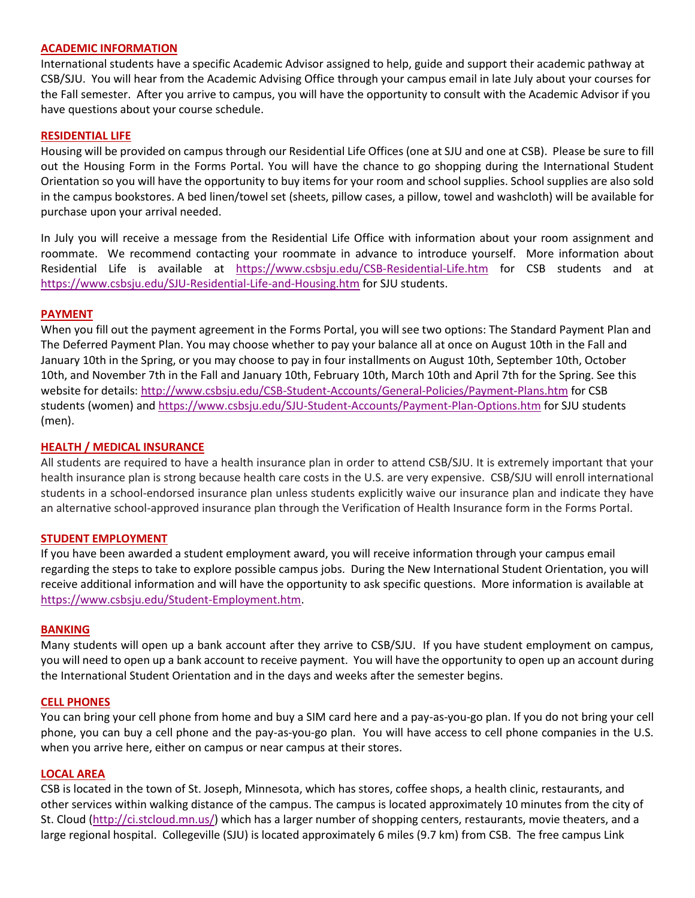#### **ACADEMIC INFORMATION**

International students have a specific Academic Advisor assigned to help, guide and support their academic pathway at CSB/SJU. You will hear from the Academic Advising Office through your campus email in late July about your courses for the Fall semester. After you arrive to campus, you will have the opportunity to consult with the Academic Advisor if you have questions about your course schedule.

#### **RESIDENTIAL LIFE**

Housing will be provided on campus through our Residential Life Offices (one at SJU and one at CSB). Please be sure to fill out the Housing Form in the Forms Portal. You will have the chance to go shopping during the International Student Orientation so you will have the opportunity to buy items for your room and school supplies. School supplies are also sold in the campus bookstores. A bed linen/towel set (sheets, pillow cases, a pillow, towel and washcloth) will be available for purchase upon your arrival needed.

In July you will receive a message from the Residential Life Office with information about your room assignment and roommate. We recommend contacting your roommate in advance to introduce yourself. More information about Residential Life is available at https://www.csbsju.edu/CSB-Residential-Life.htm for CSB students and at https://www.csbsju.edu/SJU-Residential-Life-and-Housing.htm for SJU students.

#### **PAYMENT**

When you fill out the payment agreement in the Forms Portal, you will see two options: The Standard Payment Plan and The Deferred Payment Plan. You may choose whether to pay your balance all at once on August 10th in the Fall and January 10th in the Spring, or you may choose to pay in four installments on August 10th, September 10th, October 10th, and November 7th in the Fall and January 10th, February 10th, March 10th and April 7th for the Spring. See this website for details: http://www.csbsju.edu/CSB-Student-Accounts/General-Policies/Payment-Plans.htm for CSB students (women) and https://www.csbsju.edu/SJU-Student-Accounts/Payment-Plan-Options.htm for SJU students (men).

#### **HEALTH / MEDICAL INSURANCE**

All students are required to have a health insurance plan in order to attend CSB/SJU. It is extremely important that your health insurance plan is strong because health care costs in the U.S. are very expensive. CSB/SJU will enroll international students in a school-endorsed insurance plan unless students explicitly waive our insurance plan and indicate they have an alternative school-approved insurance plan through the Verification of Health Insurance form in the Forms Portal.

## **STUDENT EMPLOYMENT**

If you have been awarded a student employment award, you will receive information through your campus email regarding the steps to take to explore possible campus jobs. During the New International Student Orientation, you will receive additional information and will have the opportunity to ask specific questions. More information is available at https://www.csbsju.edu/Student-Employment.htm.

#### **BANKING**

Many students will open up a bank account after they arrive to CSB/SJU. If you have student employment on campus, you will need to open up a bank account to receive payment. You will have the opportunity to open up an account during the International Student Orientation and in the days and weeks after the semester begins.

#### **CELL PHONES**

You can bring your cell phone from home and buy a SIM card here and a pay-as-you-go plan. If you do not bring your cell phone, you can buy a cell phone and the pay-as-you-go plan. You will have access to cell phone companies in the U.S. when you arrive here, either on campus or near campus at their stores.

## **LOCAL AREA**

CSB is located in the town of St. Joseph, Minnesota, which has stores, coffee shops, a health clinic, restaurants, and other services within walking distance of the campus. The campus is located approximately 10 minutes from the city of St. Cloud (http://ci.stcloud.mn.us/) which has a larger number of shopping centers, restaurants, movie theaters, and a large regional hospital. Collegeville (SJU) is located approximately 6 miles (9.7 km) from CSB. The free campus Link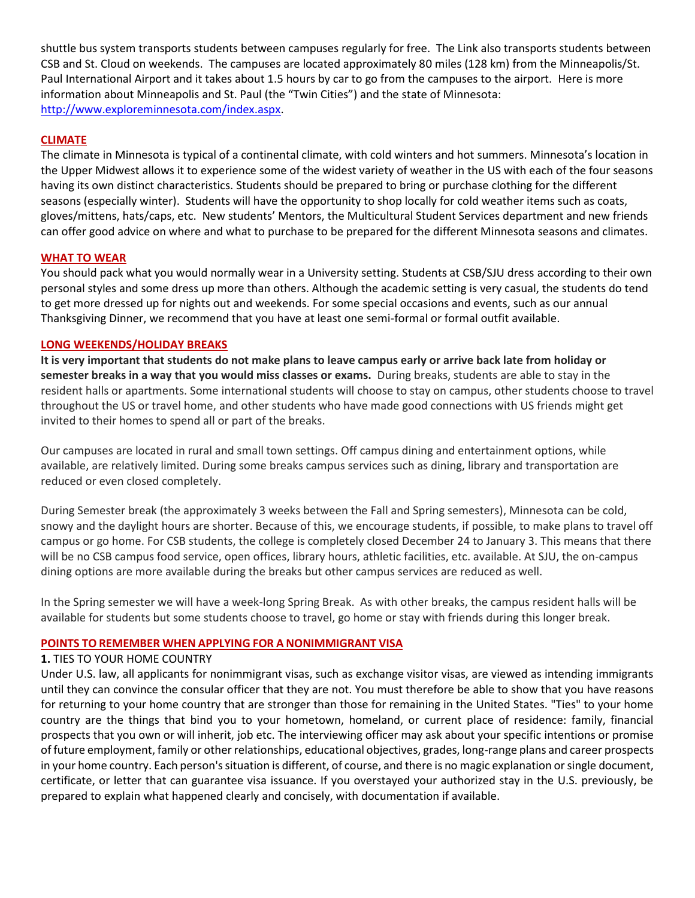shuttle bus system transports students between campuses regularly for free. The Link also transports students between CSB and St. Cloud on weekends. The campuses are located approximately 80 miles (128 km) from the Minneapolis/St. Paul International Airport and it takes about 1.5 hours by car to go from the campuses to the airport. Here is more information about Minneapolis and St. Paul (the "Twin Cities") and the state of Minnesota: http://www.exploreminnesota.com/index.aspx.

# **CLIMATE**

The climate in Minnesota is typical of a continental climate, with cold winters and hot summers. Minnesota's location in the Upper Midwest allows it to experience some of the widest variety of weather in the US with each of the four seasons having its own distinct characteristics. Students should be prepared to bring or purchase clothing for the different seasons (especially winter). Students will have the opportunity to shop locally for cold weather items such as coats, gloves/mittens, hats/caps, etc. New students' Mentors, the Multicultural Student Services department and new friends can offer good advice on where and what to purchase to be prepared for the different Minnesota seasons and climates.

## **WHAT TO WEAR**

You should pack what you would normally wear in a University setting. Students at CSB/SJU dress according to their own personal styles and some dress up more than others. Although the academic setting is very casual, the students do tend to get more dressed up for nights out and weekends. For some special occasions and events, such as our annual Thanksgiving Dinner, we recommend that you have at least one semi-formal or formal outfit available.

## **LONG WEEKENDS/HOLIDAY BREAKS**

**It is very important that students do not make plans to leave campus early or arrive back late from holiday or semester breaks in a way that you would miss classes or exams.** During breaks, students are able to stay in the resident halls or apartments. Some international students will choose to stay on campus, other students choose to travel throughout the US or travel home, and other students who have made good connections with US friends might get invited to their homes to spend all or part of the breaks.

Our campuses are located in rural and small town settings. Off campus dining and entertainment options, while available, are relatively limited. During some breaks campus services such as dining, library and transportation are reduced or even closed completely.

During Semester break (the approximately 3 weeks between the Fall and Spring semesters), Minnesota can be cold, snowy and the daylight hours are shorter. Because of this, we encourage students, if possible, to make plans to travel off campus or go home. For CSB students, the college is completely closed December 24 to January 3. This means that there will be no CSB campus food service, open offices, library hours, athletic facilities, etc. available. At SJU, the on-campus dining options are more available during the breaks but other campus services are reduced as well.

In the Spring semester we will have a week-long Spring Break. As with other breaks, the campus resident halls will be available for students but some students choose to travel, go home or stay with friends during this longer break.

# **POINTS TO REMEMBER WHEN APPLYING FOR A NONIMMIGRANT VISA**

## **1.** TIES TO YOUR HOME COUNTRY

Under U.S. law, all applicants for nonimmigrant visas, such as exchange visitor visas, are viewed as intending immigrants until they can convince the consular officer that they are not. You must therefore be able to show that you have reasons for returning to your home country that are stronger than those for remaining in the United States. "Ties" to your home country are the things that bind you to your hometown, homeland, or current place of residence: family, financial prospects that you own or will inherit, job etc. The interviewing officer may ask about your specific intentions or promise of future employment, family or other relationships, educational objectives, grades, long-range plans and career prospects in your home country. Each person's situation is different, of course, and there is no magic explanation or single document, certificate, or letter that can guarantee visa issuance. If you overstayed your authorized stay in the U.S. previously, be prepared to explain what happened clearly and concisely, with documentation if available.